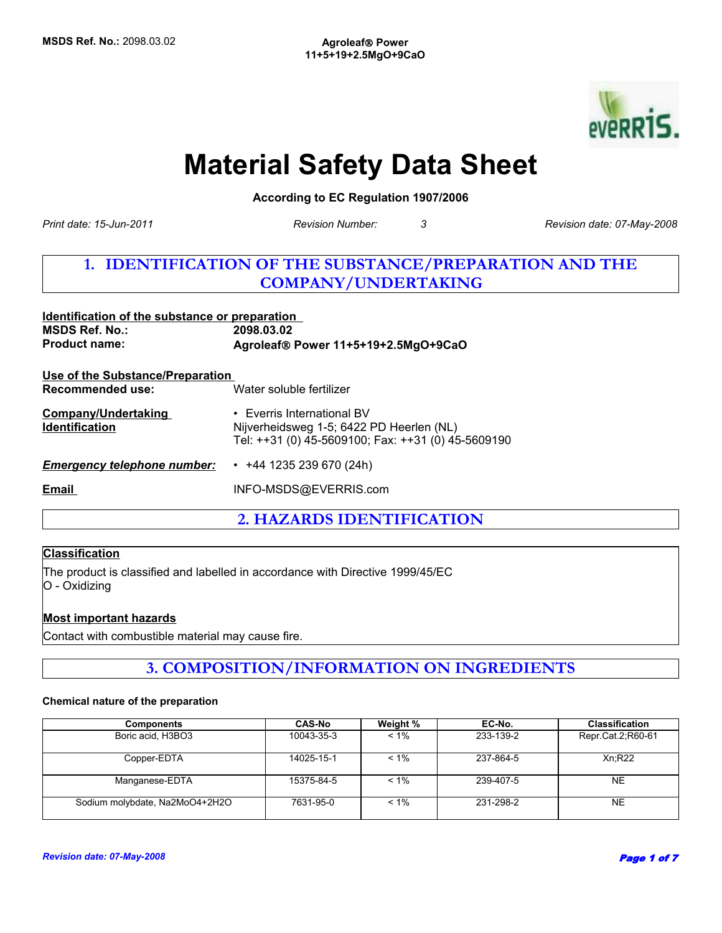

# **Material Safety Data Sheet**

**According to EC Regulation 1907/2006** 

*Print date: 15-Jun-2011*

*Revision Number: 3 Revision date: 07-May-2008*

# **1. IDENTIFICATION OF THE SUBSTANCE/PREPARATION AND THE COMPANY/UNDERTAKING**

| Identification of the substance or preparation<br><b>MSDS Ref. No.:</b> | 2098.03.02                                                                                                                         |  |  |
|-------------------------------------------------------------------------|------------------------------------------------------------------------------------------------------------------------------------|--|--|
| <b>Product name:</b>                                                    | Agroleaf® Power 11+5+19+2.5MgO+9CaO                                                                                                |  |  |
| Use of the Substance/Preparation                                        |                                                                                                                                    |  |  |
| Recommended use:                                                        | Water soluble fertilizer                                                                                                           |  |  |
| <b>Company/Undertaking</b><br><b>Identification</b>                     | $\cdot$ Everris International BV<br>Nijverheidsweg 1-5; 6422 PD Heerlen (NL)<br>Tel: ++31 (0) 45-5609100; Fax: ++31 (0) 45-5609190 |  |  |
| <b>Emergency telephone number:</b>                                      | $\cdot$ +44 1235 239 670 (24h)                                                                                                     |  |  |
| <b>Email</b>                                                            | INFO-MSDS@EVERRIS.com                                                                                                              |  |  |

**2. HAZARDS IDENTIFICATION**

# **Classification**

The product is classified and labelled in accordance with Directive 1999/45/EC O - Oxidizing

## **Most important hazards**

Contact with combustible material may cause fire.

# **3. COMPOSITION/INFORMATION ON INGREDIENTS**

#### **Chemical nature of the preparation**

| <b>Components</b>              | <b>CAS-No</b> | Weight % | EC-No.    | <b>Classification</b> |
|--------------------------------|---------------|----------|-----------|-----------------------|
| Boric acid, H3BO3              | 10043-35-3    | $< 1\%$  | 233-139-2 | Repr.Cat.2;R60-61     |
| Copper-EDTA                    | 14025-15-1    | $< 1\%$  | 237-864-5 | Xn:R22                |
| Manganese-EDTA                 | 15375-84-5    | $< 1\%$  | 239-407-5 | <b>NE</b>             |
| Sodium molybdate, Na2MoO4+2H2O | 7631-95-0     | $< 1\%$  | 231-298-2 | <b>NE</b>             |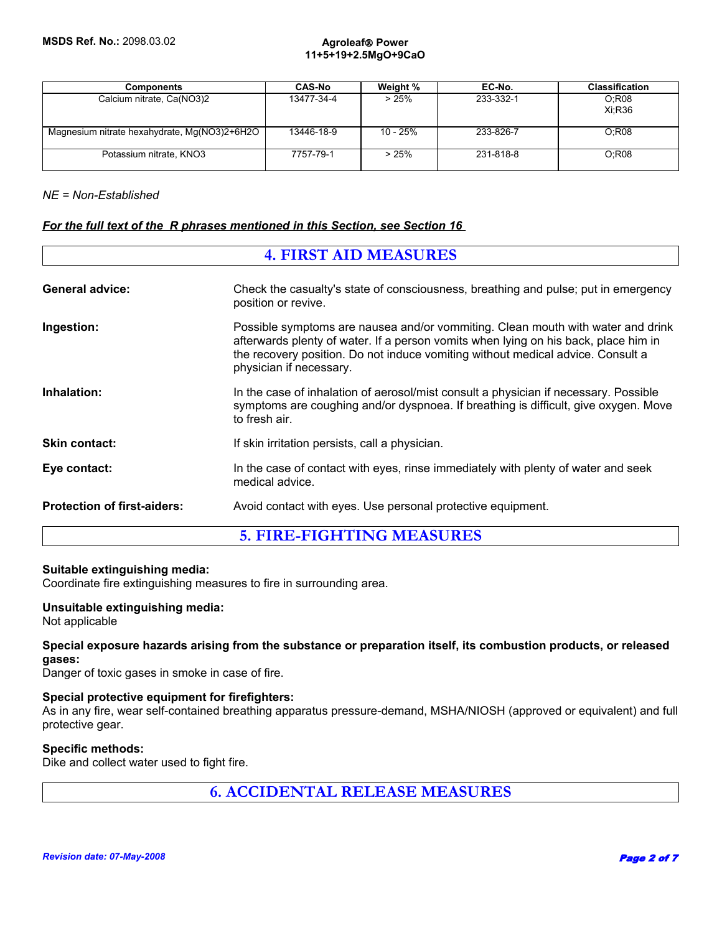#### **Agroleaf**® **Power 11+5+19+2.5MgO+9CaO**

| <b>Components</b>                            | <b>CAS-No</b> | Weight % | EC-No.    | <b>Classification</b> |
|----------------------------------------------|---------------|----------|-----------|-----------------------|
| Calcium nitrate, Ca(NO3)2                    | 13477-34-4    | >25%     | 233-332-1 | O:R08<br>Xi:R36       |
| Magnesium nitrate hexahydrate, Mg(NO3)2+6H2O | 13446-18-9    | 10 - 25% | 233-826-7 | O:R08                 |
| Potassium nitrate, KNO3                      | 7757-79-1     | >25%     | 231-818-8 | O:R08                 |

## *NE = Non-Established*

## *For the full text of the R phrases mentioned in this Section, see Section 16*

| <b>4. FIRST AID MEASURES</b>       |                                                                                                                                                                                                                                                                                      |  |
|------------------------------------|--------------------------------------------------------------------------------------------------------------------------------------------------------------------------------------------------------------------------------------------------------------------------------------|--|
| <b>General advice:</b>             | Check the casualty's state of consciousness, breathing and pulse; put in emergency<br>position or revive.                                                                                                                                                                            |  |
| Ingestion:                         | Possible symptoms are nausea and/or vommiting. Clean mouth with water and drink<br>afterwards plenty of water. If a person vomits when lying on his back, place him in<br>the recovery position. Do not induce vomiting without medical advice. Consult a<br>physician if necessary. |  |
| Inhalation:                        | In the case of inhalation of aerosol/mist consult a physician if necessary. Possible<br>symptoms are coughing and/or dyspnoea. If breathing is difficult, give oxygen. Move<br>to fresh air.                                                                                         |  |
| <b>Skin contact:</b>               | If skin irritation persists, call a physician.                                                                                                                                                                                                                                       |  |
| Eye contact:                       | In the case of contact with eyes, rinse immediately with plenty of water and seek<br>medical advice.                                                                                                                                                                                 |  |
| <b>Protection of first-aiders:</b> | Avoid contact with eyes. Use personal protective equipment.                                                                                                                                                                                                                          |  |
| <b>5. FIRE-FIGHTING MEASURES</b>   |                                                                                                                                                                                                                                                                                      |  |

## **Suitable extinguishing media:**

Coordinate fire extinguishing measures to fire in surrounding area.

## **Unsuitable extinguishing media:**

Not applicable

## **Special exposure hazards arising from the substance or preparation itself, its combustion products, or released gases:**

Danger of toxic gases in smoke in case of fire.

### **Special protective equipment for firefighters:**

As in any fire, wear self-contained breathing apparatus pressure-demand, MSHA/NIOSH (approved or equivalent) and full protective gear.

#### **Specific methods:**

Dike and collect water used to fight fire.

**6. ACCIDENTAL RELEASE MEASURES**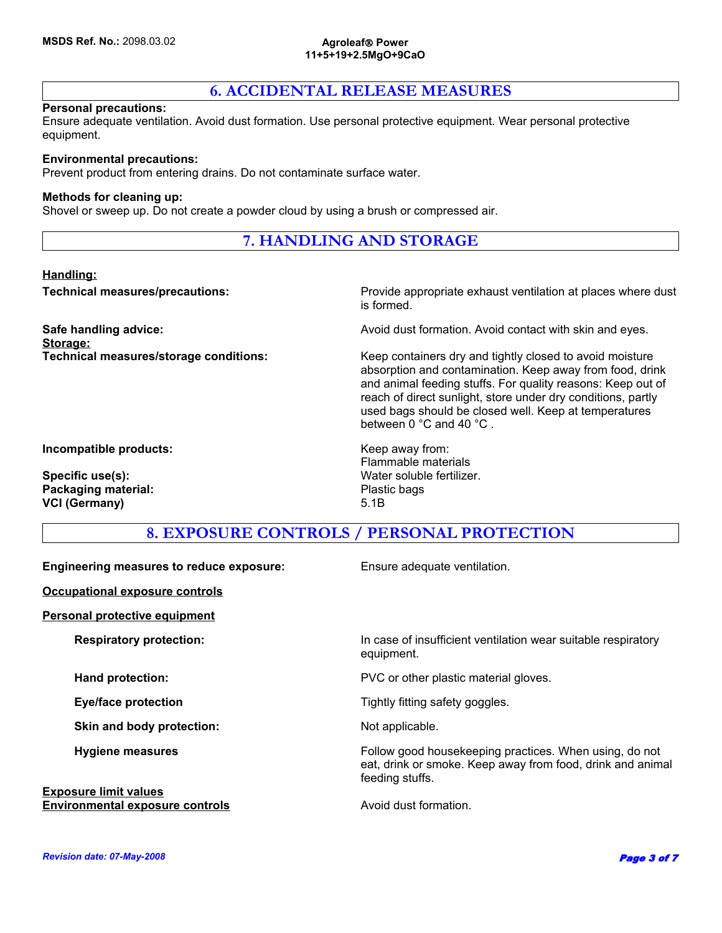#### **Agroleaf**® **Power 11+5+19+2.5MgO+9CaO**

# **6. ACCIDENTAL RELEASE MEASURES**

#### **Personal precautions:**

Ensure adequate ventilation. Avoid dust formation. Use personal protective equipment. Wear personal protective equipment.

#### **Environmental precautions:**

Prevent product from entering drains. Do not contaminate surface water.

#### **Methods for cleaning up:**

Shovel or sweep up. Do not create a powder cloud by using a brush or compressed air.

# **7. HANDLING AND STORAGE**

### **Handling:**

**Storage:**

**Technical measures/precautions:** Provide appropriate exhaust ventilation at places where dust is formed.

**Safe handling advice: Avoid dust formation. Avoid contact with skin and eyes.** And in an and eyes.

**Technical measures/storage conditions:** Keep containers dry and tightly closed to avoid moisture absorption and contamination. Keep away from food, drink and animal feeding stuffs. For quality reasons: Keep out of reach of direct sunlight, store under dry conditions, partly used bags should be closed well. Keep at temperatures between 0 °C and 40 °C .

**Incompatible products:** Keep away from:

**Packaging material:** Plastic bags **VCI (Germany)** 5.1B

Flammable materials **Specific use(s):** Water soluble fertilizer.

# **8. EXPOSURE CONTROLS / PERSONAL PROTECTION**

| <b>Engineering measures to reduce exposure:</b> | Ensure adequate ventilation.                                                                                                            |
|-------------------------------------------------|-----------------------------------------------------------------------------------------------------------------------------------------|
| <b>Occupational exposure controls</b>           |                                                                                                                                         |
| <b>Personal protective equipment</b>            |                                                                                                                                         |
| <b>Respiratory protection:</b>                  | In case of insufficient ventilation wear suitable respiratory<br>equipment.                                                             |
| <b>Hand protection:</b>                         | PVC or other plastic material gloves.                                                                                                   |
| <b>Eye/face protection</b>                      | Tightly fitting safety goggles.                                                                                                         |
| Skin and body protection:                       | Not applicable.                                                                                                                         |
| <b>Hygiene measures</b>                         | Follow good housekeeping practices. When using, do not<br>eat, drink or smoke. Keep away from food, drink and animal<br>feeding stuffs. |
| <b>Exposure limit values</b>                    |                                                                                                                                         |
| <b>Environmental exposure controls</b>          | Avoid dust formation.                                                                                                                   |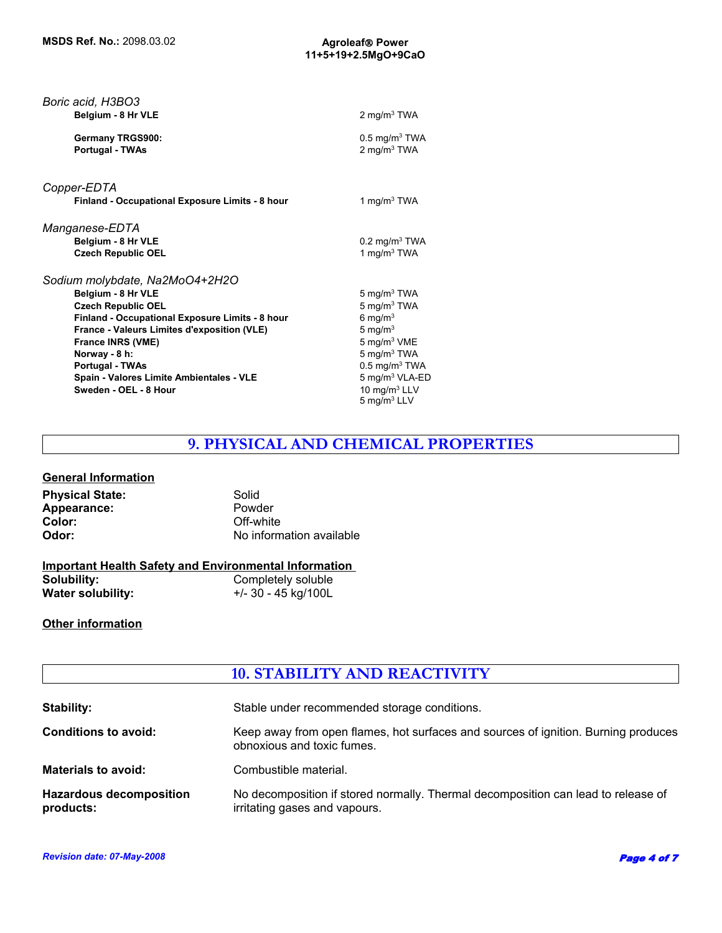| Boric acid, H3BO3<br>Belgium - 8 Hr VLE                                                                                                                                                                                                                                                                                         | 2 mg/m $3$ TWA                                                                                                                                                                                                                               |
|---------------------------------------------------------------------------------------------------------------------------------------------------------------------------------------------------------------------------------------------------------------------------------------------------------------------------------|----------------------------------------------------------------------------------------------------------------------------------------------------------------------------------------------------------------------------------------------|
| Germany TRGS900:<br>Portugal - TWAs                                                                                                                                                                                                                                                                                             | $0.5 \text{ mg/m}^3$ TWA<br>2 mg/m <sup>3</sup> TWA                                                                                                                                                                                          |
| Copper-EDTA                                                                                                                                                                                                                                                                                                                     |                                                                                                                                                                                                                                              |
| Finland - Occupational Exposure Limits - 8 hour                                                                                                                                                                                                                                                                                 | 1 mg/m $3$ TWA                                                                                                                                                                                                                               |
| Manganese-EDTA<br>Belgium - 8 Hr VLE<br><b>Czech Republic OEL</b>                                                                                                                                                                                                                                                               | $0.2 \text{ mg/m}^3$ TWA<br>1 mg/m $3$ TWA                                                                                                                                                                                                   |
| Sodium molybdate, Na2MoO4+2H2O<br>Belgium - 8 Hr VLE<br><b>Czech Republic OEL</b><br>Finland - Occupational Exposure Limits - 8 hour<br>France - Valeurs Limites d'exposition (VLE)<br><b>France INRS (VME)</b><br>Norway - 8 h:<br><b>Portugal - TWAs</b><br>Spain - Valores Limite Ambientales - VLE<br>Sweden - OEL - 8 Hour | 5 mg/m $3$ TWA<br>$5 \text{ mg/m}^3$ TWA<br>6 mg/m $3$<br>5 mg/ $m3$<br>5 mg/m <sup>3</sup> VME<br>$5 \text{ mg/m}^3$ TWA<br>$0.5$ mg/m <sup>3</sup> TWA<br>5 mg/m <sup>3</sup> VLA-ED<br>10 mg/m <sup>3</sup> LLV<br>$5 \text{ mg/m}^3$ LLV |

# **9. PHYSICAL AND CHEMICAL PROPERTIES**

# **General Information**

| <b>Physical State:</b> | Solid                    |
|------------------------|--------------------------|
| Appearance:            | Powder                   |
| Color:                 | Off-white                |
| Odor:                  | No information available |

# **Important Health Safety and Environmental Information**

| Solubility:       | Completely soluble  |
|-------------------|---------------------|
| Water solubility: | +/- 30 - 45 kg/100L |

# **Other information**

# **10. STABILITY AND REACTIVITY**

| <b>Stability:</b>                           | Stable under recommended storage conditions.                                                                       |
|---------------------------------------------|--------------------------------------------------------------------------------------------------------------------|
| <b>Conditions to avoid:</b>                 | Keep away from open flames, hot surfaces and sources of ignition. Burning produces<br>obnoxious and toxic fumes.   |
| <b>Materials to avoid:</b>                  | Combustible material.                                                                                              |
| <b>Hazardous decomposition</b><br>products: | No decomposition if stored normally. Thermal decomposition can lead to release of<br>irritating gases and vapours. |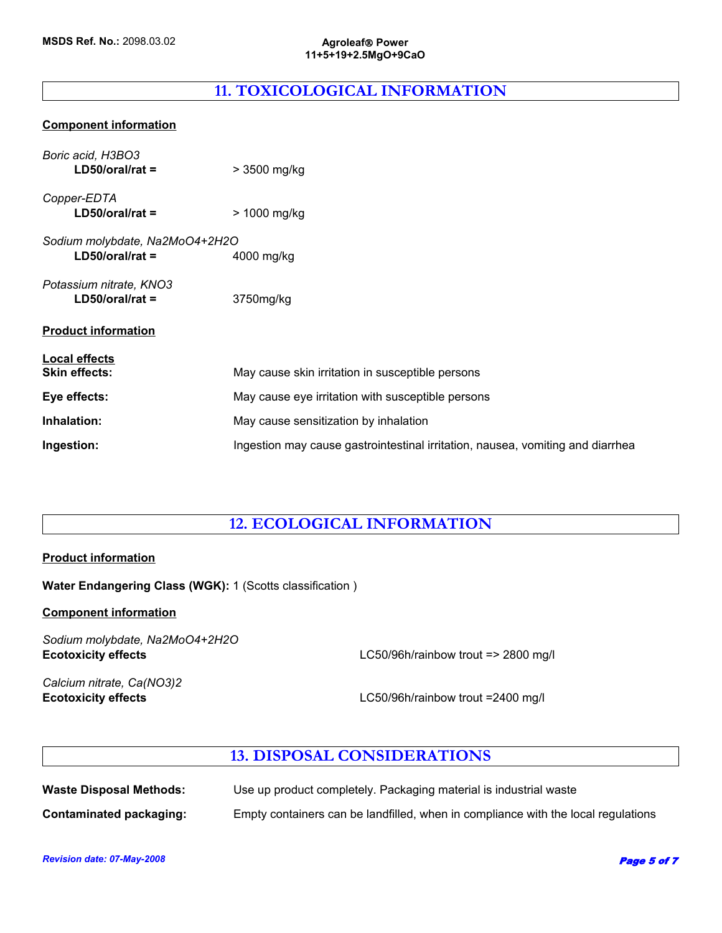# **11. TOXICOLOGICAL INFORMATION**

## **Component information**

| Boric acid, H3BO3<br>$LD50/oral/rat =$              | > 3500 mg/kg                                                                   |
|-----------------------------------------------------|--------------------------------------------------------------------------------|
| Copper-EDTA<br>$LD50/oral/rat =$                    | > 1000 mg/kg                                                                   |
| Sodium molybdate, Na2MoO4+2H2O<br>$LD50/oral/rat =$ | 4000 mg/kg                                                                     |
| Potassium nitrate, KNO3<br>$LD50/oral/rat =$        | 3750mg/kg                                                                      |
| <b>Product information</b>                          |                                                                                |
| Local effects<br><b>Skin effects:</b>               | May cause skin irritation in susceptible persons                               |
| Eye effects:                                        | May cause eye irritation with susceptible persons                              |
| Inhalation:                                         | May cause sensitization by inhalation                                          |
| Ingestion:                                          | Ingestion may cause gastrointestinal irritation, nausea, vomiting and diarrhea |

# **12. ECOLOGICAL INFORMATION**

# **Product information**

**Water Endangering Class (WGK):** 1 (Scotts classification )

## **Component information**

*Sodium molybdate, Na2MoO4+2H2O* **Ecotoxicity effects** LC50/96h/rainbow trout => 2800 mg/l

*Calcium nitrate, Ca(NO3)2*

**Ecotoxicity effects** LC50/96h/rainbow trout =2400 mg/l

# **13. DISPOSAL CONSIDERATIONS**

| <b>Waste Disposal Methods:</b> | Use up product completely. Packaging material is industrial waste                 |
|--------------------------------|-----------------------------------------------------------------------------------|
| Contaminated packaging:        | Empty containers can be landfilled, when in compliance with the local regulations |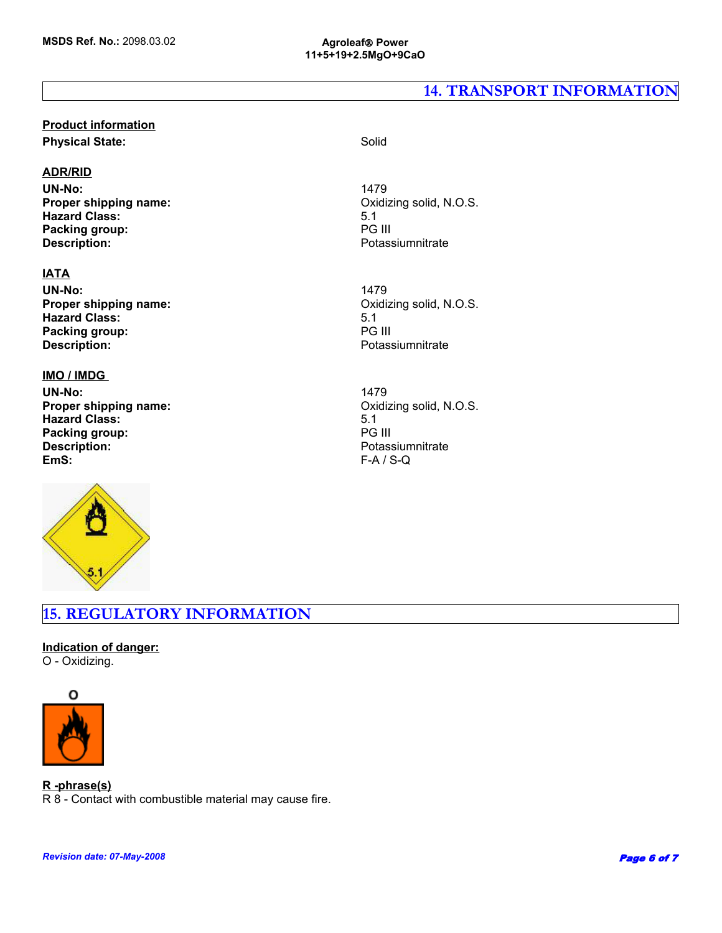# **14. TRANSPORT INFORMATION**

# **Product information Physical State:** Solid

## **ADR/RID**

UN-No:<br> **Proper shipping name:** The Contract of the Contract of Contract of Contract of Contract of Trender's Contract o<br>
Contract of Contract of Contract of Contract of Contract of Contract of Contract of Contract of Cont **Proper shipping name: Hazard Class:** 5.1 **Packing group:** PG III **Description:** Potassiumnitrate

# **IATA**

UN-No:<br> **Proper shipping name:** The Contract of the Contract of Contract of Contract of Contract of Trender's Contract o<br>
Contract of Contract of Contract of Contract of Contract of Contract of Contract of Contract of Cont **Proper shipping name: Hazard Class:** 5.1 **Packing group:** 5.1 **Packing group:** 5.1 **PG III Packing group: Description:** Potassiumnitrate

## **IMO / IMDG**

**UN-No:** 1479 **Proper shipping name:** CONSERVIAL CONSERVIATION CONSERVIATION Oxidizing solid, N.O.S. **Hazard Class:** 5.1 **Packing group:** PG III<br> **Description:** Potas: Potas: **Description:** Potassiumnitrate<br> **EmS:** F-A / S-Q



**EmS:** F-A / S-Q

# **15. REGULATORY INFORMATION**

## **Indication of danger:** O - Oxidizing.



#### **R -phrase(s)**

R 8 - Contact with combustible material may cause fire.